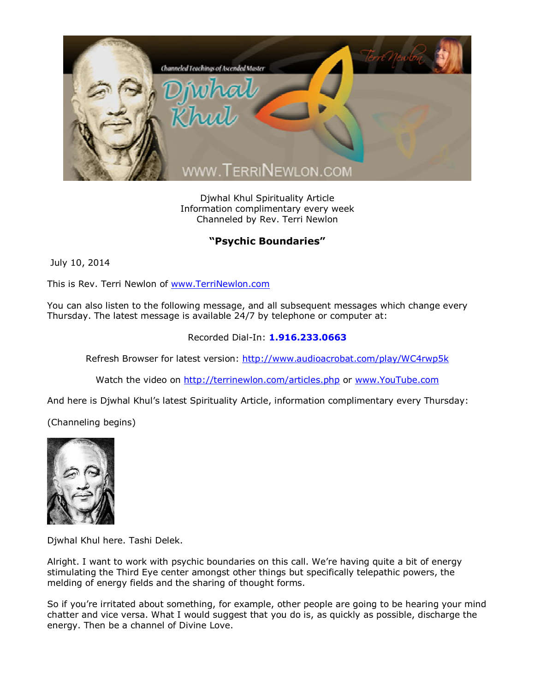

Djwhal Khul Spirituality Article Information complimentary every week Channeled by Rev. Terri Newlon

## **"Psychic Boundaries"**

July 10, 2014

This is Rev. Terri Newlon of [www.TerriNewlon.com](http://www.terrinewlon.com/)

You can also listen to the following message, and all subsequent messages which change every Thursday. The latest message is available 24/7 by telephone or computer at:

## Recorded Dial-In: **1.916.233.0663**

Refresh Browser for latest version: <http://www.audioacrobat.com/play/WC4rwp5k>

Watch the video on <http://terrinewlon.com/articles.php> or [www.YouTube.com](http://www.youtube.com/)

And here is Djwhal Khul's latest Spirituality Article, information complimentary every Thursday:

(Channeling begins)



Djwhal Khul here. Tashi Delek.

Alright. I want to work with psychic boundaries on this call. We're having quite a bit of energy stimulating the Third Eye center amongst other things but specifically telepathic powers, the melding of energy fields and the sharing of thought forms.

So if you're irritated about something, for example, other people are going to be hearing your mind chatter and vice versa. What I would suggest that you do is, as quickly as possible, discharge the energy. Then be a channel of Divine Love.